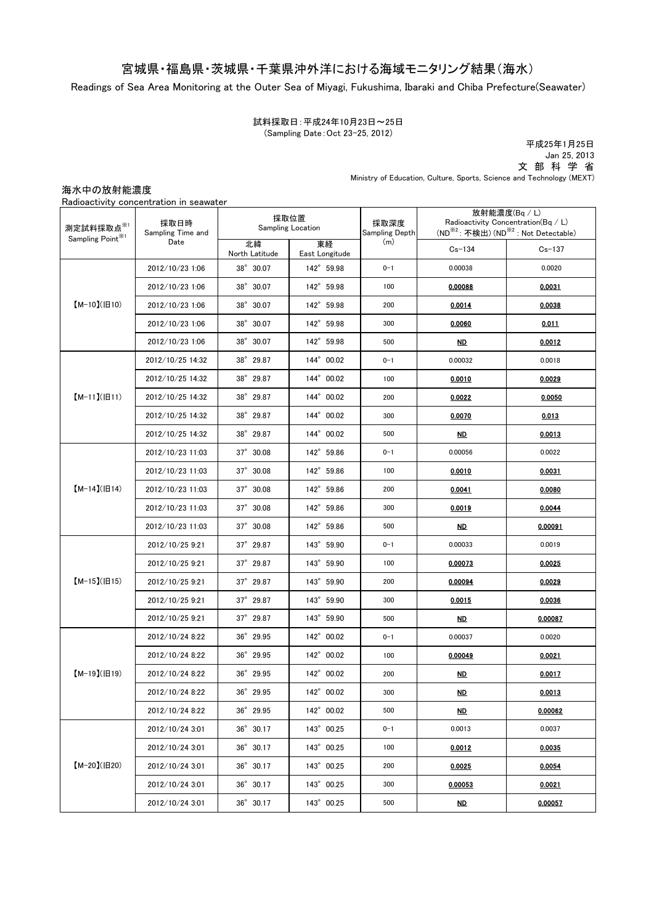## 宮城県・福島県・茨城県・千葉県沖外洋における海域モニタリング結果(海水)

Readings of Sea Area Monitoring at the Outer Sea of Miyagi, Fukushima, Ibaraki and Chiba Prefecture(Seawater)

試料採取日:平成24年10月23日~25日 (Sampling Date:Oct 23-25, 2012)

文 部 科 学 省 Ministry of Education, Culture, Sports, Science and Technology (MEXT) 平成25年1月25日 Jan 25, 2013

海水中の放射能濃度

| 測定試料採取点※1<br>Sampling Point <sup>*/1</sup> | 採取日時<br>Sampling Time and<br>Date | 採取位置<br><b>Sampling Location</b> |                      | 採取深度<br>Sampling Depth | 放射能濃度(Bq / L)<br>Radioactivity Concentration(Bq / L)<br>(ND <sup>※2</sup> : 不検出) (ND <sup>※2</sup> : Not Detectable) |            |
|--------------------------------------------|-----------------------------------|----------------------------------|----------------------|------------------------|----------------------------------------------------------------------------------------------------------------------|------------|
|                                            |                                   | 北緯<br>North Latitude             | 東経<br>East Longitude | (m)                    | $Cs - 134$                                                                                                           | $Cs - 137$ |
| $[M-10](H10)$                              | 2012/10/23 1:06                   | 38° 30.07                        | 142° 59.98           | $0 - 1$                | 0.00038                                                                                                              | 0.0020     |
|                                            | 2012/10/23 1:06                   | 38° 30.07                        | 142° 59.98           | 100                    | 0.00088                                                                                                              | 0.0031     |
|                                            | 2012/10/23 1:06                   | 38° 30.07                        | 142° 59.98           | 200                    | 0.0014                                                                                                               | 0.0038     |
|                                            | 2012/10/23 1:06                   | 38° 30.07                        | 142° 59.98           | 300                    | 0.0060                                                                                                               | 0.011      |
|                                            | 2012/10/23 1:06                   | 38° 30.07                        | 142° 59.98           | 500                    | ND.                                                                                                                  | 0.0012     |
| $[M-11](H11)$                              | 2012/10/25 14:32                  | 38° 29.87                        | 144° 00.02           | $0 - 1$                | 0.00032                                                                                                              | 0.0018     |
|                                            | 2012/10/25 14:32                  | 38° 29.87                        | 144° 00.02           | 100                    | 0.0010                                                                                                               | 0.0029     |
|                                            | 2012/10/25 14:32                  | 38° 29.87                        | 144° 00.02           | 200                    | 0.0022                                                                                                               | 0.0050     |
|                                            | 2012/10/25 14:32                  | 38° 29.87                        | 144° 00.02           | 300                    | 0.0070                                                                                                               | 0.013      |
|                                            | 2012/10/25 14:32                  | 38° 29.87                        | 144° 00.02           | 500                    | ND.                                                                                                                  | 0.0013     |
| $[M-14]( H14)$                             | 2012/10/23 11:03                  | 37° 30.08                        | 142° 59.86           | $0 - 1$                | 0.00056                                                                                                              | 0.0022     |
|                                            | 2012/10/23 11:03                  | $37^{\circ}$ 30.08               | 142° 59.86           | 100                    | 0.0010                                                                                                               | 0.0031     |
|                                            | 2012/10/23 11:03                  | 37° 30.08                        | 142° 59.86           | 200                    | 0.0041                                                                                                               | 0.0080     |
|                                            | 2012/10/23 11:03                  | 37° 30.08                        | 142° 59.86           | 300                    | 0.0019                                                                                                               | 0.0044     |
|                                            | 2012/10/23 11:03                  | 37° 30.08                        | 142° 59.86           | 500                    | <u>ND</u>                                                                                                            | 0.00091    |
| $[M-15]$ ( $[H15]$                         | 2012/10/25 9:21                   | 37° 29.87                        | 143° 59.90           | $0 - 1$                | 0.00033                                                                                                              | 0.0019     |
|                                            | 2012/10/25 9:21                   | $37^{\circ}$ 29.87               | 143° 59.90           | 100                    | 0.00073                                                                                                              | 0.0025     |
|                                            | 2012/10/25 9:21                   | 37° 29.87                        | 143° 59.90           | 200                    | 0.00094                                                                                                              | 0.0029     |
|                                            | 2012/10/25 9:21                   | 37° 29.87                        | 143° 59.90           | 300                    | 0.0015                                                                                                               | 0.0036     |
|                                            | 2012/10/25 9:21                   | 37° 29.87                        | 143° 59.90           | 500                    | <u>ND</u>                                                                                                            | 0.00087    |
| $[M-19](H19)$                              | 2012/10/24 8:22                   | 36° 29.95                        | 142° 00.02           | $0 - 1$                | 0.00037                                                                                                              | 0.0020     |
|                                            | 2012/10/24 8:22                   | 36° 29.95                        | 142° 00.02           | 100                    | 0.00049                                                                                                              | 0.0021     |
|                                            | 2012/10/24 8:22                   | 36° 29.95                        | 142° 00.02           | 200                    | ND.                                                                                                                  | 0.0017     |
|                                            | 2012/10/24 8:22                   | $36^{\circ}$ 29.95               | 142° 00.02           | 300                    | <u>ND</u>                                                                                                            | 0.0013     |
|                                            | 2012/10/24 8:22                   | 36° 29.95                        | 142° 00.02           | 500                    | <u>ND</u>                                                                                                            | 0.00062    |
| 【M-20】(旧20)                                | 2012/10/24 3:01                   | $36^{\circ}$ 30.17               | 143° 00.25           | $0 - 1$                | 0.0013                                                                                                               | 0.0037     |
|                                            | 2012/10/24 3:01                   | $36^{\circ}$ 30.17               | 143° 00.25           | 100                    | 0.0012                                                                                                               | 0.0035     |
|                                            | 2012/10/24 3:01                   | $36^{\circ}$ 30.17               | 143° 00.25           | 200                    | 0.0025                                                                                                               | 0.0054     |
|                                            | 2012/10/24 3:01                   | $36^{\circ}$ 30.17               | 143° 00.25           | 300                    | 0.00053                                                                                                              | 0.0021     |
|                                            | 2012/10/24 3:01                   | 36° 30.17                        | 143° 00.25           | 500                    | <u>ND</u>                                                                                                            | 0.00057    |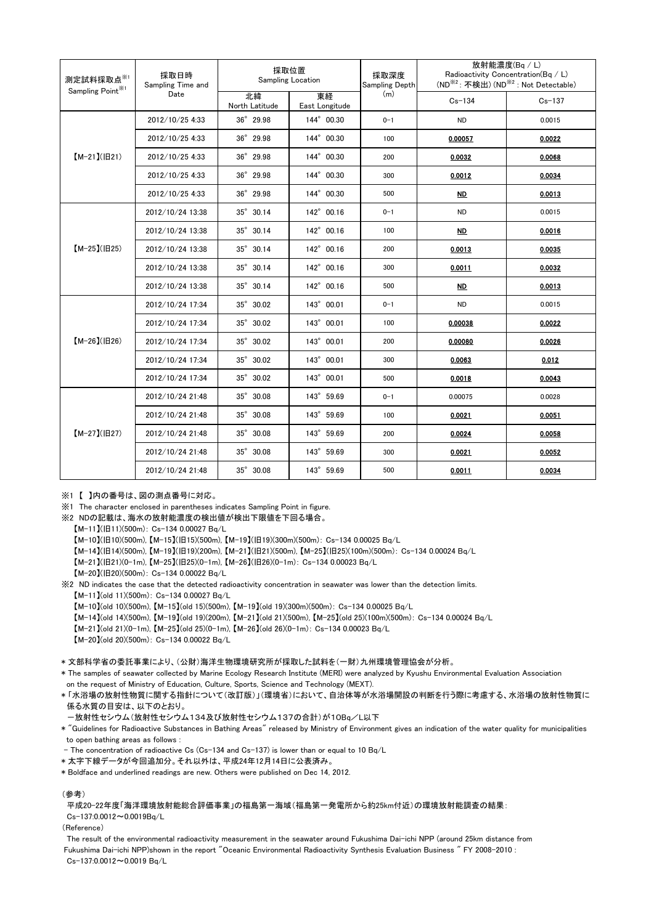| 測定試料採取点※1<br>Sampling Point <sup>361</sup> | 採取日時<br>Sampling Time and<br>Date | 採取位置<br>Sampling Location |                      | 採取深度<br>Sampling Depth | 放射能濃度(Bq/L)<br>Radioactivity Concentration(Bq / L)<br>(ND <sup>※2</sup> : 不検出) (ND <sup>※2</sup> : Not Detectable) |            |
|--------------------------------------------|-----------------------------------|---------------------------|----------------------|------------------------|--------------------------------------------------------------------------------------------------------------------|------------|
|                                            |                                   | 北緯<br>North Latitude      | 東経<br>East Longitude | (m)                    | $Cs - 134$                                                                                                         | $Cs - 137$ |
| $[M-21](H21)$                              | 2012/10/25 4:33                   | 36° 29.98                 | 144° 00.30           | $0 - 1$                | <b>ND</b>                                                                                                          | 0.0015     |
|                                            | 2012/10/25 4:33                   | 36° 29.98                 | 144° 00.30           | 100                    | 0.00057                                                                                                            | 0.0022     |
|                                            | 2012/10/25 4:33                   | 36° 29.98                 | 144° 00.30           | 200                    | 0.0032                                                                                                             | 0.0068     |
|                                            | 2012/10/25 4:33                   | 36° 29.98                 | 144° 00.30           | 300                    | 0.0012                                                                                                             | 0.0034     |
|                                            | 2012/10/25 4:33                   | 36° 29.98                 | 144° 00.30           | 500                    | ND.                                                                                                                | 0.0013     |
| $[M-25]( E25)$                             | 2012/10/24 13:38                  | 35° 30.14                 | 142° 00.16           | $0 - 1$                | <b>ND</b>                                                                                                          | 0.0015     |
|                                            | 2012/10/24 13:38                  | 35° 30.14                 | 142° 00.16           | 100                    | ND.                                                                                                                | 0.0016     |
|                                            | 2012/10/24 13:38                  | 35° 30.14                 | 142° 00.16           | 200                    | 0.0013                                                                                                             | 0.0035     |
|                                            | 2012/10/24 13:38                  | 35° 30.14                 | 142° 00.16           | 300                    | 0.0011                                                                                                             | 0.0032     |
|                                            | 2012/10/24 13:38                  | 35° 30.14                 | 142° 00.16           | 500                    | ND.                                                                                                                | 0.0013     |
| $[M-26](H26)$                              | 2012/10/24 17:34                  | 35° 30.02                 | 143° 00.01           | $0 - 1$                | <b>ND</b>                                                                                                          | 0.0015     |
|                                            | 2012/10/24 17:34                  | 35° 30.02                 | 143° 00.01           | 100                    | 0.00038                                                                                                            | 0.0022     |
|                                            | 2012/10/24 17:34                  | 35° 30.02                 | 143° 00.01           | 200                    | 0.00080                                                                                                            | 0.0026     |
|                                            | 2012/10/24 17:34                  | 35° 30.02                 | 143° 00.01           | 300                    | 0.0063                                                                                                             | 0.012      |
|                                            | 2012/10/24 17:34                  | 35° 30.02                 | 143° 00.01           | 500                    | 0.0018                                                                                                             | 0.0043     |
| $[M-27](H27)$                              | 2012/10/24 21:48                  | 35° 30.08                 | 143° 59.69           | $0 - 1$                | 0.00075                                                                                                            | 0.0028     |
|                                            | 2012/10/24 21:48                  | 35° 30.08                 | 143° 59.69           | 100                    | 0.0021                                                                                                             | 0.0051     |
|                                            | 2012/10/24 21:48                  | 35° 30.08                 | 143° 59.69           | 200                    | 0.0024                                                                                                             | 0.0058     |
|                                            | 2012/10/24 21:48                  | 35° 30.08                 | 143° 59.69           | 300                    | 0.0021                                                                                                             | 0.0052     |
|                                            | 2012/10/24 21:48                  | 35° 30.08                 | 143° 59.69           | 500                    | 0.0011                                                                                                             | 0.0034     |

※1 【 】内の番号は、図の測点番号に対応。

※1 The character enclosed in parentheses indicates Sampling Point in figure.

※2 NDの記載は、海水の放射能濃度の検出値が検出下限値を下回る場合。

【M-11】(旧11)(500m): Cs-134 0.00027 Bq/L

 $[M-10]$ (旧10)(500m),  $[M-15]$ (旧15)(500m),  $[M-19]$ (旧19)(300m)(500m): Cs-134 0.00025 Bq/L

【M-14】(旧14)(500m), 【M-19】(旧19)(200m), 【M-21】(旧21)(500m), 【M-25】(旧25)(100m)(500m): Cs-134 0.00024 Bq/L

【M-21】(旧21)(0-1m), 【M-25】(旧25)(0-1m), 【M-26】(旧26)(0-1m): Cs-134 0.00023 Bq/L

 $[M-20](B20)(500m)$ : Cs-134 0.00022 Bq/L

 $[M-11]$ (old 11)(500m): Cs-134 0.00027 Bq/L ※2 ND indicates the case that the detected radioactivity concentration in seawater was lower than the detection limits.

【M-10】(old 10)(500m), 【M-15】(old 15)(500m), 【M-19】(old 19)(300m)(500m): Cs-134 0.00025 Bq/L

【M-14】(old 14)(500m), 【M-19】(old 19)(200m), 【M-21】(old 21)(500m), 【M-25】(old 25)(100m)(500m): Cs-134 0.00024 Bq/L

【M-21】(old 21)(0-1m), 【M-25】(old 25)(0-1m), 【M-26】(old 26)(0-1m): Cs-134 0.00023 Bq/L

【M-20】(old 20)(500m): Cs-134 0.00022 Bq/L

\* 文部科学省の委託事業により、(公財)海洋生物環境研究所が採取した試料を(一財)九州環境管理協会が分析。

\* The samples of seawater collected by Marine Ecology Research Institute (MERI) were analyzed by Kyushu Environmental Evaluation Association on the request of Ministry of Education, Culture, Sports, Science and Technology (MEXT).

係る水質の日安は 以下のとおり。 \* 「水浴場の放射性物質に関する指針について(改訂版)」(環境省)において、自治体等が水浴場開設の判断を行う際に考慮する、水浴場の放射性物質に

- -放射性セシウム(放射性セシウム134及び放射性セシウム137の合計)が10Bq/L以下
- to open bathing areas as follows : \* "Guidelines for Radioactive Substances in Bathing Areas" released by Ministry of Environment gives an indication of the water quality for municipalities

- The concentration of radioactive Cs (Cs-134 and Cs-137) is lower than or equal to 10 Bq/L

\* 太字下線データが今回追加分。それ以外は、平成24年12月14日に公表済み。

\* Boldface and underlined readings are new. Others were published on Dec 14, 2012.

## (参考)

平成20-22年度「海洋環境放射能総合評価事業」の福島第一海域(福島第一発電所から約25km付近)の環境放射能調査の結果: Cs-137:0.0012~0.0019Bq/L

(Reference)

The result of the environmental radioactivity measurement in the seawater around Fukushima Dai-ichi NPP (around 25km distance from Fukushima Dai-ichi NPP)shown in the report "Oceanic Environmental Radioactivity Synthesis Evaluation Business " FY 2008-2010 : Cs-137:0.0012~0.0019 Bq/L